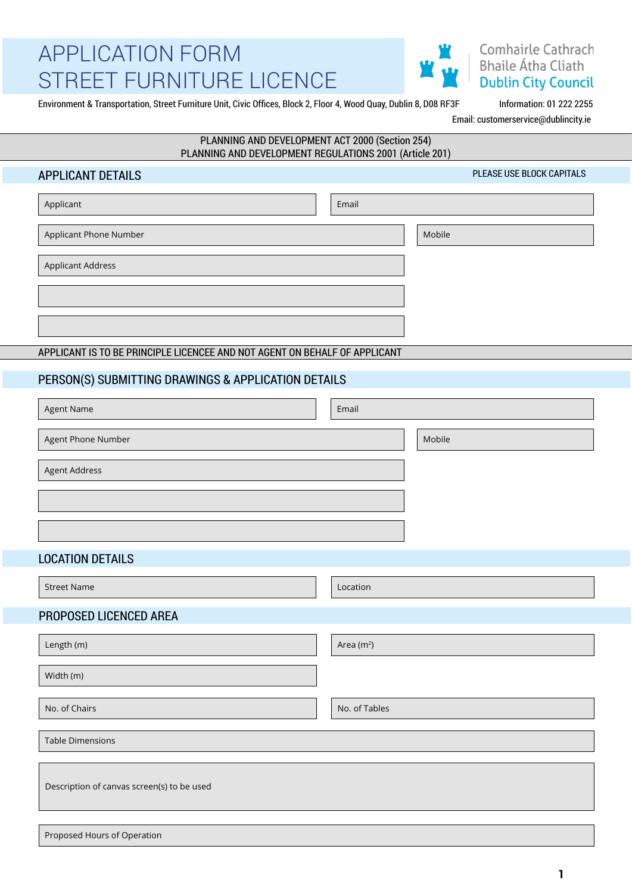

### Comhairle Cathrach **Bhaile Átha Cliath Dublin City Council**

Environment & Transportation, Street Furniture Unit, Civic Offices, Block 2, Floor 4, Wood Quay, Dublin 8, D08 RF3F Information: 01 222 2255

Email: customerservice@dublincity.ie

PLEASE USE BLOCK CAPITALS

#### PLANNING AND DEVELOPMENT ACT 2000 (Section 254) PLANNING AND DEVELOPMENT REGULATIONS 2001 (Article 201)

#### APPLICANT DETAILS

| Applicant                                                                  | Email |        |
|----------------------------------------------------------------------------|-------|--------|
| <b>Applicant Phone Number</b>                                              |       | Mobile |
| <b>Applicant Address</b>                                                   |       |        |
|                                                                            |       |        |
|                                                                            |       |        |
| APPLICANT IS TO BE PRINCIPLE LICENCEE AND NOT AGENT ON BEHALF OF APPLICANT |       |        |

### PERSON(S) SUBMITTING DRAWINGS & APPLICATION DETAILS

| Agent Name           | Email |        |
|----------------------|-------|--------|
| Agent Phone Number   |       | Mobile |
| <b>Agent Address</b> |       |        |
|                      |       |        |
|                      |       |        |
|                      |       |        |

#### LOCATION DETAILS

| <b>Street Name</b>                         | Location      |
|--------------------------------------------|---------------|
| PROPOSED LICENCED AREA                     |               |
| Length (m)                                 | Area $(m^2)$  |
| Width (m)                                  |               |
| No. of Chairs                              | No. of Tables |
| <b>Table Dimensions</b>                    |               |
| Description of canvas screen(s) to be used |               |
|                                            |               |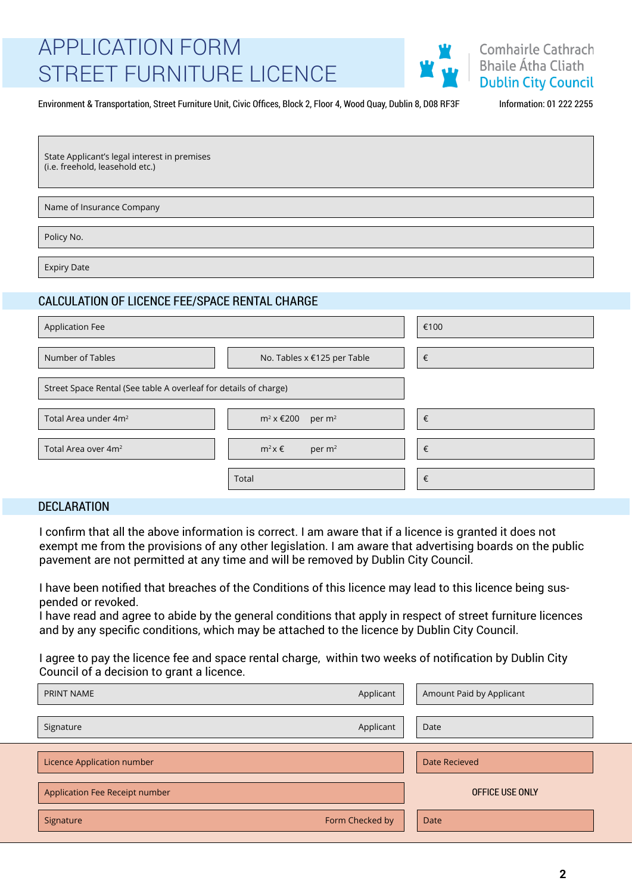

#### Environment & Transportation, Street Furniture Unit, Civic Offices, Block 2, Floor 4, Wood Quay, Dublin 8, D08 RF3F Information: 01 222 2255

| State Applicant's legal interest in premises |
|----------------------------------------------|
| (i.e. freehold, leasehold etc.)              |

Name of Insurance Company

Policy No.

Expiry Date

### CALCULATION OF LICENCE FEE/SPACE RENTAL CHARGE

| <b>Application Fee</b>                                           |                                           | €100 |
|------------------------------------------------------------------|-------------------------------------------|------|
|                                                                  |                                           |      |
| Number of Tables                                                 | No. Tables x €125 per Table               | €    |
|                                                                  |                                           |      |
| Street Space Rental (See table A overleaf for details of charge) |                                           |      |
|                                                                  |                                           |      |
| Total Area under 4m <sup>2</sup>                                 | $m^2$ x $\epsilon$ 200 per m <sup>2</sup> | €    |
|                                                                  |                                           |      |
| Total Area over 4m <sup>2</sup>                                  | $m^2x \in$<br>per $m2$                    | €    |
|                                                                  |                                           |      |
|                                                                  | Total                                     | €    |

#### DECLARATION

I confirm that all the above information is correct. I am aware that if a licence is granted it does not exempt me from the provisions of any other legislation. I am aware that advertising boards on the public pavement are not permitted at any time and will be removed by Dublin City Council.

I have been notified that breaches of the Conditions of this licence may lead to this licence being suspended or revoked.

I have read and agree to abide by the general conditions that apply in respect of street furniture licences and by any specific conditions, which may be attached to the licence by Dublin City Council.

I agree to pay the licence fee and space rental charge, within two weeks of notification by Dublin City Council of a decision to grant a licence.

| PRINT NAME                     | Applicant       | Amount Paid by Applicant |  |  |
|--------------------------------|-----------------|--------------------------|--|--|
| Signature                      | Applicant       | Date                     |  |  |
| Licence Application number     |                 | Date Recieved            |  |  |
| Application Fee Receipt number |                 | OFFICE USE ONLY          |  |  |
| Signature                      | Form Checked by | Date                     |  |  |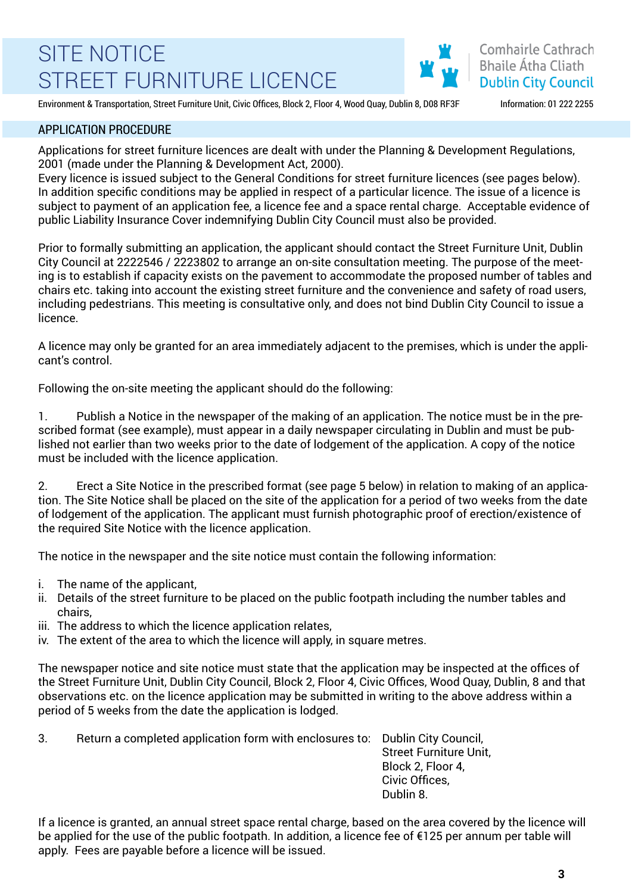Comhairle Cathrach **Bhaile Átha Cliath Dublin City Council** 

Environment & Transportation, Street Furniture Unit, Civic Offices, Block 2, Floor 4, Wood Quay, Dublin 8, D08 RF3F Information: 01 222 2255

#### APPLICATION PROCEDURE

Applications for street furniture licences are dealt with under the Planning & Development Regulations, 2001 (made under the Planning & Development Act, 2000).

Every licence is issued subject to the General Conditions for street furniture licences (see pages below). In addition specific conditions may be applied in respect of a particular licence. The issue of a licence is subject to payment of an application fee, a licence fee and a space rental charge. Acceptable evidence of public Liability Insurance Cover indemnifying Dublin City Council must also be provided.

Prior to formally submitting an application, the applicant should contact the Street Furniture Unit, Dublin City Council at 2222546 / 2223802 to arrange an on-site consultation meeting. The purpose of the meeting is to establish if capacity exists on the pavement to accommodate the proposed number of tables and chairs etc. taking into account the existing street furniture and the convenience and safety of road users, including pedestrians. This meeting is consultative only, and does not bind Dublin City Council to issue a licence.

A licence may only be granted for an area immediately adjacent to the premises, which is under the applicant's control.

Following the on-site meeting the applicant should do the following:

1. Publish a Notice in the newspaper of the making of an application. The notice must be in the prescribed format (see example), must appear in a daily newspaper circulating in Dublin and must be published not earlier than two weeks prior to the date of lodgement of the application. A copy of the notice must be included with the licence application.

2. Erect a Site Notice in the prescribed format (see page 5 below) in relation to making of an application. The Site Notice shall be placed on the site of the application for a period of two weeks from the date of lodgement of the application. The applicant must furnish photographic proof of erection/existence of the required Site Notice with the licence application.

The notice in the newspaper and the site notice must contain the following information:

- i. The name of the applicant,
- ii. Details of the street furniture to be placed on the public footpath including the number tables and chairs,
- iii. The address to which the licence application relates,
- iv. The extent of the area to which the licence will apply, in square metres.

The newspaper notice and site notice must state that the application may be inspected at the offices of the Street Furniture Unit, Dublin City Council, Block 2, Floor 4, Civic Offices, Wood Quay, Dublin, 8 and that observations etc. on the licence application may be submitted in writing to the above address within a period of 5 weeks from the date the application is lodged.

3. Return a completed application form with enclosures to: Dublin City Council, Street Furniture Unit, Block 2, Floor 4, Civic Offices, Dublin 8.

If a licence is granted, an annual street space rental charge, based on the area covered by the licence will be applied for the use of the public footpath. In addition, a licence fee of €125 per annum per table will apply. Fees are payable before a licence will be issued.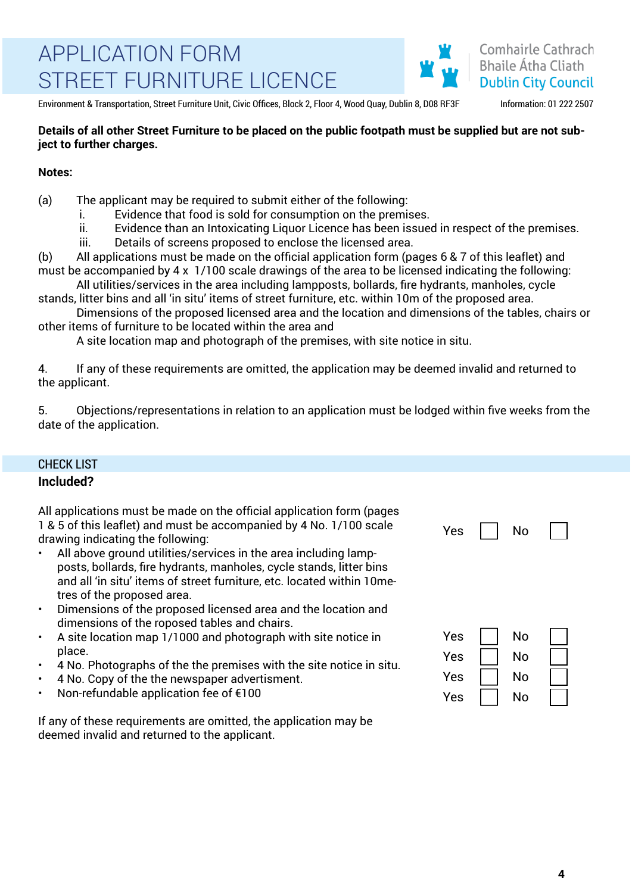

Environment & Transportation, Street Furniture Unit, Civic Offices, Block 2, Floor 4, Wood Quay, Dublin 8, D08 RF3F Information: 01 222 2507

#### **Details of all other Street Furniture to be placed on the public footpath must be supplied but are not subject to further charges.**

#### **Notes:**

(a) The applicant may be required to submit either of the following:

- i. Evidence that food is sold for consumption on the premises.
- ii. Evidence than an Intoxicating Liquor Licence has been issued in respect of the premises.
- iii. Details of screens proposed to enclose the licensed area.

(b) All applications must be made on the official application form (pages 6 & 7 of this leaflet) and must be accompanied by 4 x 1/100 scale drawings of the area to be licensed indicating the following:

All utilities/services in the area including lampposts, bollards, fire hydrants, manholes, cycle stands, litter bins and all 'in situ' items of street furniture, etc. within 10m of the proposed area.

Dimensions of the proposed licensed area and the location and dimensions of the tables, chairs or other items of furniture to be located within the area and

A site location map and photograph of the premises, with site notice in situ.

4. If any of these requirements are omitted, the application may be deemed invalid and returned to the applicant.

5. Objections/representations in relation to an application must be lodged within five weeks from the date of the application.

#### CHECK LIST

#### **Included?**

| All applications must be made on the official application form (pages<br>1 & 5 of this leaflet) and must be accompanied by 4 No. 1/100 scale<br>drawing indicating the following:<br>All above ground utilities/services in the area including lamp-<br>$\bullet$<br>posts, bollards, fire hydrants, manholes, cycle stands, litter bins<br>and all 'in situ' items of street furniture, etc. located within 10me-<br>tres of the proposed area.<br>Dimensions of the proposed licensed area and the location and<br>$\bullet$ | Yes                             | No                   |  |
|--------------------------------------------------------------------------------------------------------------------------------------------------------------------------------------------------------------------------------------------------------------------------------------------------------------------------------------------------------------------------------------------------------------------------------------------------------------------------------------------------------------------------------|---------------------------------|----------------------|--|
| dimensions of the roposed tables and chairs.<br>A site location map 1/1000 and photograph with site notice in<br>$\bullet$<br>place.<br>4 No. Photographs of the the premises with the site notice in situ.<br>$\bullet$<br>4 No. Copy of the the newspaper advertisment.<br>$\bullet$<br>Non-refundable application fee of €100<br>$\bullet$                                                                                                                                                                                  | Yes<br>Yes<br><b>Yes</b><br>Yes | No<br>No<br>No<br>No |  |

If any of these requirements are omitted, the application may be deemed invalid and returned to the applicant.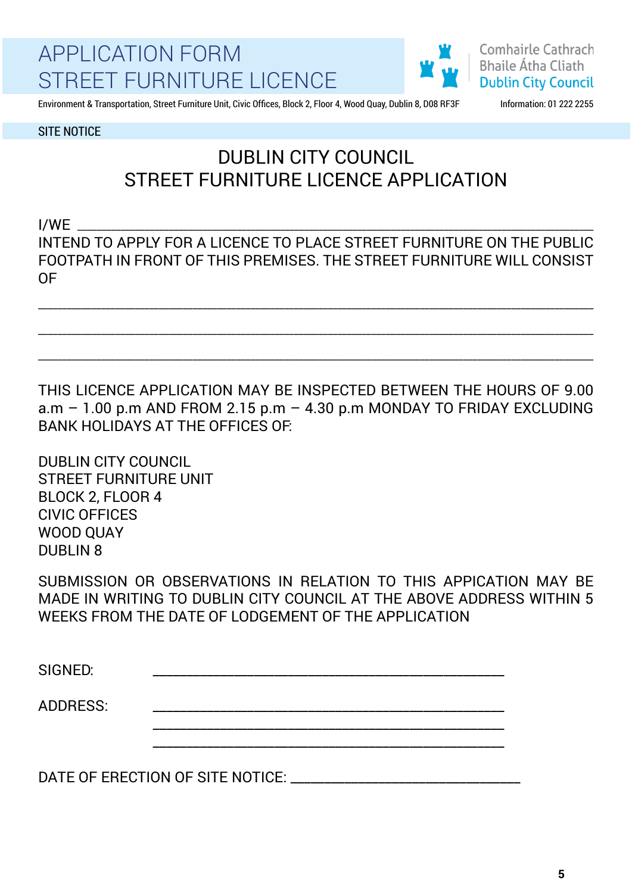

**Comhairle Cathrach Bhaile Átha Cliath Dublin City Council** 

Environment & Transportation, Street Furniture Unit, Civic Offices, Block 2, Floor 4, Wood Quay, Dublin 8, D08 RF3F Information: 01 222 2255

SITE NOTICE

### DUBLIN CITY COUNCIL STREET FURNITURE LICENCE APPLICATION

 $I/WE$ INTEND TO APPLY FOR A LICENCE TO PLACE STREET FURNITURE ON THE PUBLIC FOOTPATH IN FRONT OF THIS PREMISES. THE STREET FURNITURE WILL CONSIST OF

\_\_\_\_\_\_\_\_\_\_\_\_\_\_\_\_\_\_\_\_\_\_\_\_\_\_\_\_\_\_\_\_\_\_\_\_\_\_\_\_\_\_\_\_\_\_\_\_\_\_\_\_\_\_\_\_\_\_\_\_\_\_\_\_\_\_\_\_\_\_\_\_\_\_\_\_\_\_\_\_\_\_\_\_\_\_\_\_\_\_\_\_\_\_\_\_\_\_\_\_\_\_\_\_\_\_\_\_\_\_\_\_\_\_\_

\_\_\_\_\_\_\_\_\_\_\_\_\_\_\_\_\_\_\_\_\_\_\_\_\_\_\_\_\_\_\_\_\_\_\_\_\_\_\_\_\_\_\_\_\_\_\_\_\_\_\_\_\_\_\_\_\_\_\_\_\_\_\_\_\_\_\_\_\_\_\_\_\_\_\_\_\_\_\_\_\_\_\_\_\_\_\_\_\_\_\_\_\_\_\_\_\_\_\_\_\_\_\_\_\_\_\_\_\_\_\_\_\_\_\_

\_\_\_\_\_\_\_\_\_\_\_\_\_\_\_\_\_\_\_\_\_\_\_\_\_\_\_\_\_\_\_\_\_\_\_\_\_\_\_\_\_\_\_\_\_\_\_\_\_\_\_\_\_\_\_\_\_\_\_\_\_\_\_\_\_\_\_\_\_\_\_\_\_\_\_\_\_\_\_\_\_\_\_\_\_\_\_\_\_\_\_\_\_\_\_\_\_\_\_\_\_\_\_\_\_\_\_\_\_\_\_\_\_\_\_

THIS LICENCE APPLICATION MAY BE INSPECTED BETWEEN THE HOURS OF 9.00 a.m  $-$  1.00 p.m AND FROM 2.15 p.m  $-$  4.30 p.m MONDAY TO FRIDAY EXCLUDING BANK HOLIDAYS AT THE OFFICES OF:

DUBLIN CITY COUNCIL STREET FURNITURE UNIT BLOCK 2, FLOOR 4 CIVIC OFFICES WOOD QUAY DUBLIN 8

SUBMISSION OR OBSERVATIONS IN RELATION TO THIS APPICATION MAY BE MADE IN WRITING TO DUBLIN CITY COUNCIL AT THE ABOVE ADDRESS WITHIN 5 WEEKS FROM THE DATE OF LODGEMENT OF THE APPLICATION

SIGNED: \_\_\_\_\_\_\_\_\_\_\_\_\_\_\_\_\_\_\_\_\_\_\_\_\_\_\_\_\_\_\_\_\_\_\_\_\_\_\_\_\_\_\_\_\_\_\_\_\_\_\_\_ ADDRESS: \_\_\_\_\_\_\_\_\_\_\_\_\_\_\_\_\_\_\_\_\_\_\_\_\_\_\_\_\_\_\_\_\_\_\_\_\_\_\_\_\_\_\_\_\_\_\_\_\_\_\_\_ \_\_\_\_\_\_\_\_\_\_\_\_\_\_\_\_\_\_\_\_\_\_\_\_\_\_\_\_\_\_\_\_\_\_\_\_\_\_\_\_\_\_\_\_\_\_\_\_\_\_\_\_ \_\_\_\_\_\_\_\_\_\_\_\_\_\_\_\_\_\_\_\_\_\_\_\_\_\_\_\_\_\_\_\_\_\_\_\_\_\_\_\_\_\_\_\_\_\_\_\_\_\_\_\_

DATE OF ERECTION OF SITE NOTICE: \_\_\_\_\_\_\_\_\_\_\_\_\_\_\_\_\_\_\_\_\_\_\_\_\_\_\_\_\_\_\_\_\_\_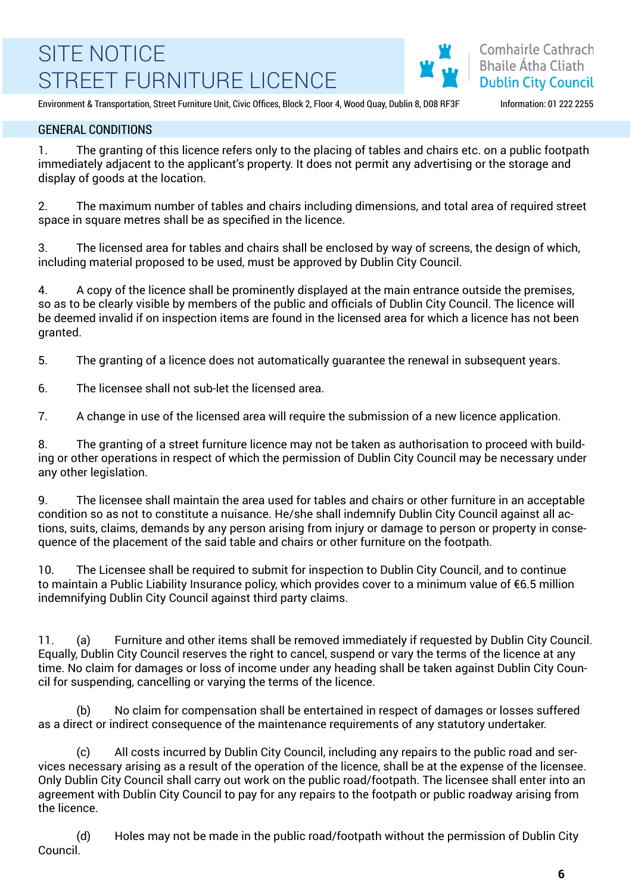Comhairle Cathrach **Bhaile Átha Cliath Dublin City Council** 

Environment & Transportation, Street Furniture Unit, Civic Offices, Block 2, Floor 4, Wood Quay, Dublin 8, D08 RF3F Information: 01 222 2255

#### GENERAL CONDITIONS

1. The granting of this licence refers only to the placing of tables and chairs etc. on a public footpath immediately adjacent to the applicant's property. It does not permit any advertising or the storage and display of goods at the location.

2. The maximum number of tables and chairs including dimensions, and total area of required street space in square metres shall be as specified in the licence.

3. The licensed area for tables and chairs shall be enclosed by way of screens, the design of which, including material proposed to be used, must be approved by Dublin City Council.

4. A copy of the licence shall be prominently displayed at the main entrance outside the premises, so as to be clearly visible by members of the public and officials of Dublin City Council. The licence will be deemed invalid if on inspection items are found in the licensed area for which a licence has not been granted.

5. The granting of a licence does not automatically guarantee the renewal in subsequent years.

6. The licensee shall not sub-let the licensed area.

7. A change in use of the licensed area will require the submission of a new licence application.

8. The granting of a street furniture licence may not be taken as authorisation to proceed with building or other operations in respect of which the permission of Dublin City Council may be necessary under any other legislation.

9. The licensee shall maintain the area used for tables and chairs or other furniture in an acceptable condition so as not to constitute a nuisance. He/she shall indemnify Dublin City Council against all actions, suits, claims, demands by any person arising from injury or damage to person or property in consequence of the placement of the said table and chairs or other furniture on the footpath.

10. The Licensee shall be required to submit for inspection to Dublin City Council, and to continue to maintain a Public Liability Insurance policy, which provides cover to a minimum value of €6.5 million indemnifying Dublin City Council against third party claims.

11. (a) Furniture and other items shall be removed immediately if requested by Dublin City Council. Equally, Dublin City Council reserves the right to cancel, suspend or vary the terms of the licence at any time. No claim for damages or loss of income under any heading shall be taken against Dublin City Council for suspending, cancelling or varying the terms of the licence.

No claim for compensation shall be entertained in respect of damages or losses suffered as a direct or indirect consequence of the maintenance requirements of any statutory undertaker.

(c) All costs incurred by Dublin City Council, including any repairs to the public road and services necessary arising as a result of the operation of the licence, shall be at the expense of the licensee. Only Dublin City Council shall carry out work on the public road/footpath. The licensee shall enter into an agreement with Dublin City Council to pay for any repairs to the footpath or public roadway arising from the licence.

(d) Holes may not be made in the public road/footpath without the permission of Dublin City Council.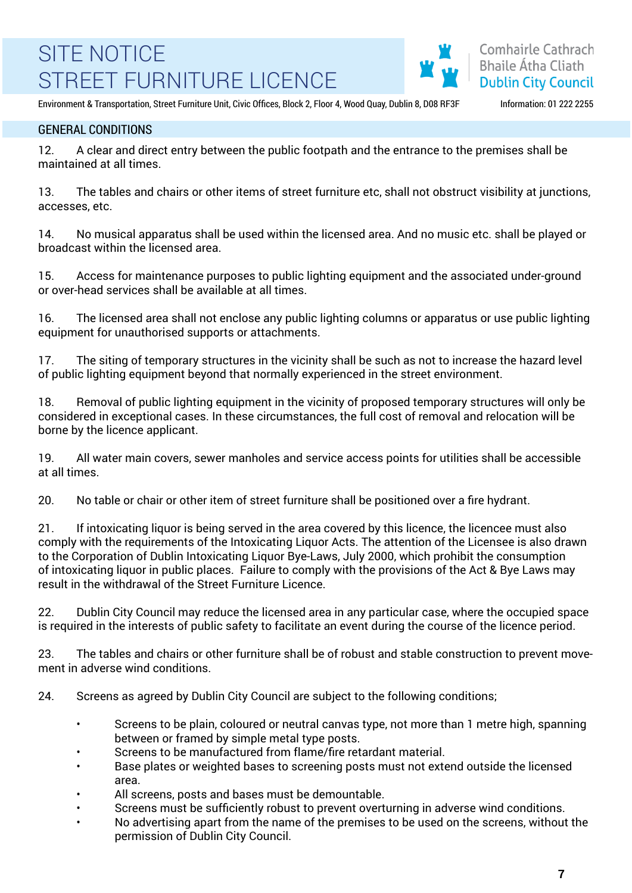

Environment & Transportation, Street Furniture Unit, Civic Offices, Block 2, Floor 4, Wood Quay, Dublin 8, D08 RF3F Information: 01 222 2255

#### GENERAL CONDITIONS

12. A clear and direct entry between the public footpath and the entrance to the premises shall be maintained at all times.

13. The tables and chairs or other items of street furniture etc, shall not obstruct visibility at junctions, accesses, etc.

14. No musical apparatus shall be used within the licensed area. And no music etc. shall be played or broadcast within the licensed area.

15. Access for maintenance purposes to public lighting equipment and the associated under-ground or over-head services shall be available at all times.

16. The licensed area shall not enclose any public lighting columns or apparatus or use public lighting equipment for unauthorised supports or attachments.

17. The siting of temporary structures in the vicinity shall be such as not to increase the hazard level of public lighting equipment beyond that normally experienced in the street environment.

18. Removal of public lighting equipment in the vicinity of proposed temporary structures will only be considered in exceptional cases. In these circumstances, the full cost of removal and relocation will be borne by the licence applicant.

19. All water main covers, sewer manholes and service access points for utilities shall be accessible at all times.

20. No table or chair or other item of street furniture shall be positioned over a fire hydrant.

21. If intoxicating liquor is being served in the area covered by this licence, the licencee must also comply with the requirements of the Intoxicating Liquor Acts. The attention of the Licensee is also drawn to the Corporation of Dublin Intoxicating Liquor Bye-Laws, July 2000, which prohibit the consumption of intoxicating liquor in public places. Failure to comply with the provisions of the Act & Bye Laws may result in the withdrawal of the Street Furniture Licence.

22. Dublin City Council may reduce the licensed area in any particular case, where the occupied space is required in the interests of public safety to facilitate an event during the course of the licence period.

23. The tables and chairs or other furniture shall be of robust and stable construction to prevent movement in adverse wind conditions.

24. Screens as agreed by Dublin City Council are subject to the following conditions;

- Screens to be plain, coloured or neutral canvas type, not more than 1 metre high, spanning between or framed by simple metal type posts.
- Screens to be manufactured from flame/fire retardant material.
- Base plates or weighted bases to screening posts must not extend outside the licensed area.
- All screens, posts and bases must be demountable.
- Screens must be sufficiently robust to prevent overturning in adverse wind conditions.
- No advertising apart from the name of the premises to be used on the screens, without the permission of Dublin City Council.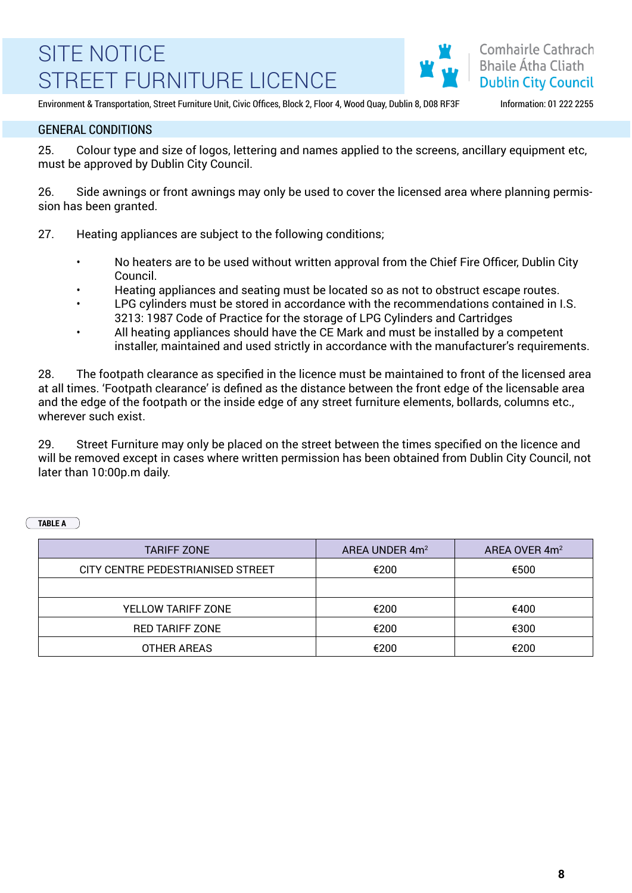

Environment & Transportation, Street Furniture Unit, Civic Offices, Block 2, Floor 4, Wood Quay, Dublin 8, D08 RF3F Information: 01 222 2255

#### GENERAL CONDITIONS

25. Colour type and size of logos, lettering and names applied to the screens, ancillary equipment etc, must be approved by Dublin City Council.

26. Side awnings or front awnings may only be used to cover the licensed area where planning permission has been granted.

- 27. Heating appliances are subject to the following conditions;
	- No heaters are to be used without written approval from the Chief Fire Officer, Dublin City Council.
	- Heating appliances and seating must be located so as not to obstruct escape routes.
	- LPG cylinders must be stored in accordance with the recommendations contained in I.S. 3213: 1987 Code of Practice for the storage of LPG Cylinders and Cartridges
	- All heating appliances should have the CE Mark and must be installed by a competent installer, maintained and used strictly in accordance with the manufacturer's requirements.

28. The footpath clearance as specified in the licence must be maintained to front of the licensed area at all times. 'Footpath clearance' is defined as the distance between the front edge of the licensable area and the edge of the footpath or the inside edge of any street furniture elements, bollards, columns etc., wherever such exist.

29. Street Furniture may only be placed on the street between the times specified on the licence and will be removed except in cases where written permission has been obtained from Dublin City Council, not later than 10:00p.m daily.

**TABLE A**

| <b>TARIFF ZONE</b>                | AREA UNDER 4m <sup>2</sup> | AREA OVER 4m <sup>2</sup> |
|-----------------------------------|----------------------------|---------------------------|
| CITY CENTRE PEDESTRIANISED STREET | €200                       | €500                      |
|                                   |                            |                           |
| YELLOW TARIFF ZONE                | €200                       | €400                      |
| <b>RED TARIFF ZONE</b>            | €200                       | €300                      |
| OTHER AREAS                       | €200                       | €200                      |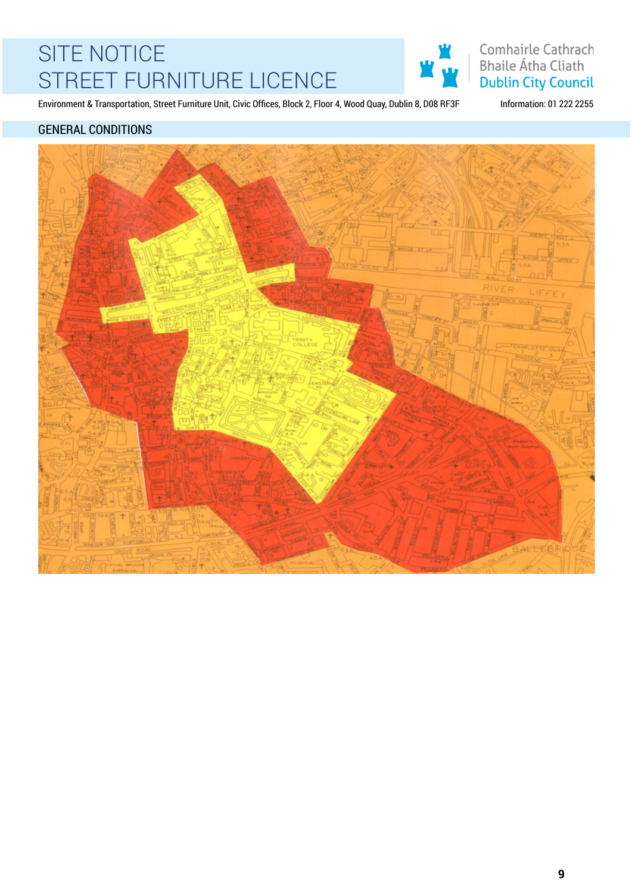

Comhairle Cathrach **Bhaile Átha Cliath Dublin City Council** 

Environment & Transportation, Street Furniture Unit, Civic Offices, Block 2, Floor 4, Wood Quay, Dublin 8, D08 RF3F Information: 01 222 2255

### GENERAL CONDITIONS